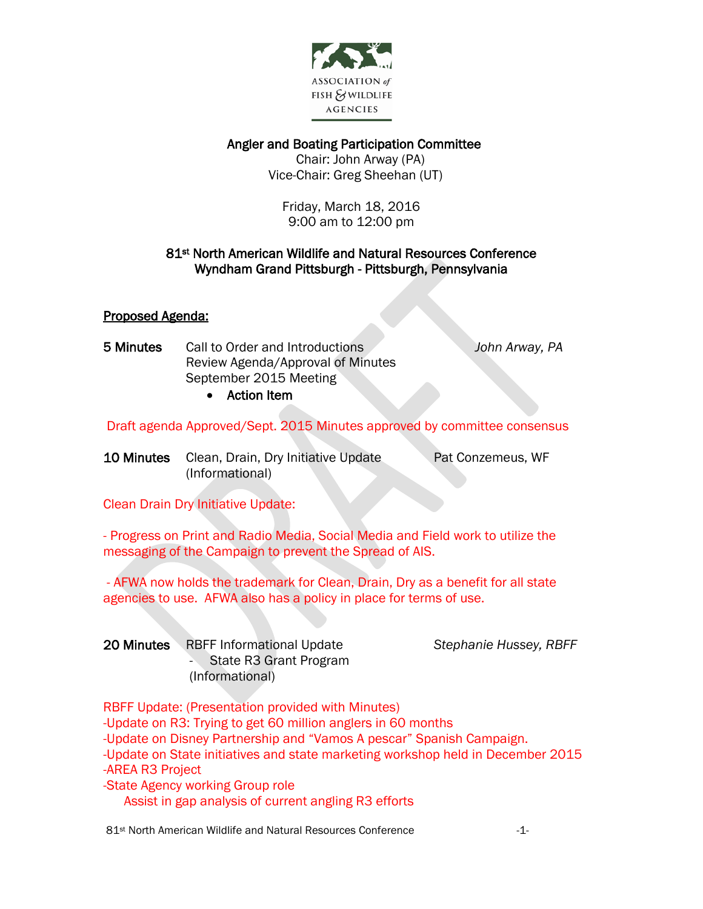

Angler and Boating Participation Committee

 Chair: John Arway (PA) Vice-Chair: Greg Sheehan (UT)

Friday, March 18, 2016 9:00 am to 12:00 pm

### 81st North American Wildlife and Natural Resources Conference Wyndham Grand Pittsburgh - Pittsburgh, Pennsylvania

# Proposed Agenda:

- 5 Minutes Call to Order and Introductions *John Arway, PA* Review Agenda/Approval of Minutes September 2015 Meeting
	- Action Item

Draft agenda Approved/Sept. 2015 Minutes approved by committee consensus

10 Minutes Clean, Drain, Dry Initiative Update Pat Conzemeus, WF (Informational)

Clean Drain Dry Initiative Update:

- Progress on Print and Radio Media, Social Media and Field work to utilize the messaging of the Campaign to prevent the Spread of AIS.

- AFWA now holds the trademark for Clean, Drain, Dry as a benefit for all state agencies to use. AFWA also has a policy in place for terms of use.

| 20 Minutes RBFF Informational Update |
|--------------------------------------|
| - State R3 Grant Program             |
| (Informational)                      |

 $Stephanie Hussey, RBFF$ 

RBFF Update: (Presentation provided with Minutes) -Update on R3: Trying to get 60 million anglers in 60 months -Update on Disney Partnership and "Vamos A pescar" Spanish Campaign. -Update on State initiatives and state marketing workshop held in December 2015 -AREA R3 Project -State Agency working Group role Assist in gap analysis of current angling R3 efforts

81<sup>st</sup> North American Wildlife and Natural Resources Conference  $-1$ -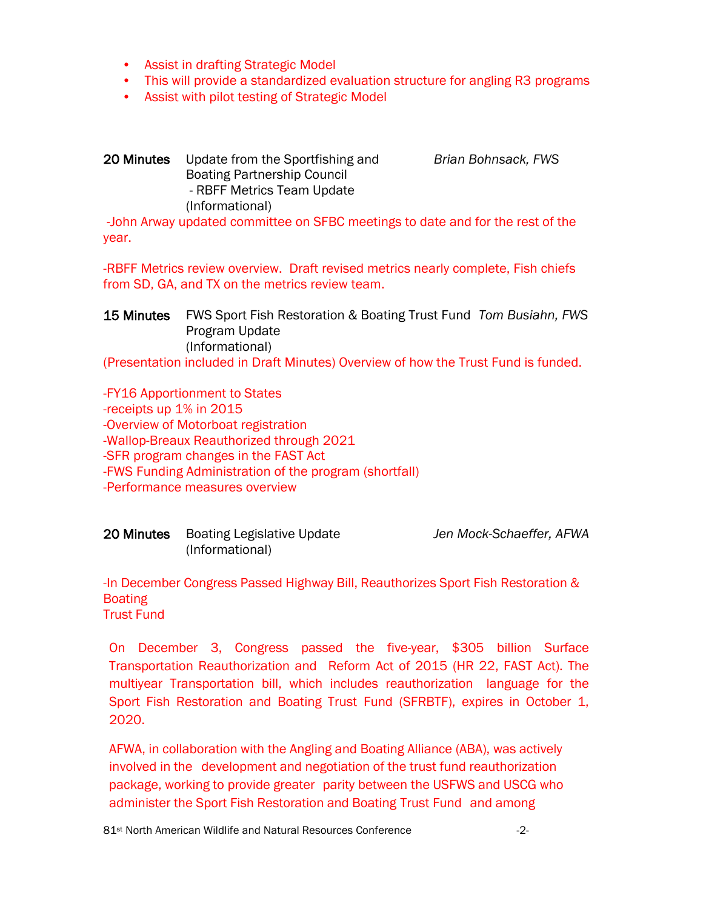- Assist in drafting Strategic Model
- This will provide a standardized evaluation structure for angling R3 programs
- Assist with pilot testing of Strategic Model

# 20 Minutes Update from the Sportfishing and *Brian Bohnsack, FWS* Boating Partnership Council - RBFF Metrics Team Update (Informational)

-John Arway updated committee on SFBC meetings to date and for the rest of the year.

-RBFF Metrics review overview. Draft revised metrics nearly complete, Fish chiefs from SD, GA, and TX on the metrics review team.

15 Minutes FWS Sport Fish Restoration & Boating Trust Fund *Tom Busiahn, FWS* Program Update (Informational)

(Presentation included in Draft Minutes) Overview of how the Trust Fund is funded.

-FY16 Apportionment to States -receipts up 1% in 2015 -Overview of Motorboat registration -Wallop-Breaux Reauthorized through 2021 -SFR program changes in the FAST Act -FWS Funding Administration of the program (shortfall) -Performance measures overview

| <b>20 Minutes</b> Boating Legislative Update |                 | Jen Mock-Schaeffer, AFWA |
|----------------------------------------------|-----------------|--------------------------|
|                                              | (Informational) |                          |

-In December Congress Passed Highway Bill, Reauthorizes Sport Fish Restoration & **Boating** Trust Fund

On December 3, Congress passed the five-year, \$305 billion Surface Transportation Reauthorization and Reform Act of 2015 (HR 22, FAST Act). The multiyear Transportation bill, which includes reauthorization language for the Sport Fish Restoration and Boating Trust Fund (SFRBTF), expires in October 1, 2020.

AFWA, in collaboration with the Angling and Boating Alliance (ABA), was actively involved in the development and negotiation of the trust fund reauthorization package, working to provide greater parity between the USFWS and USCG who administer the Sport Fish Restoration and Boating Trust Fund and among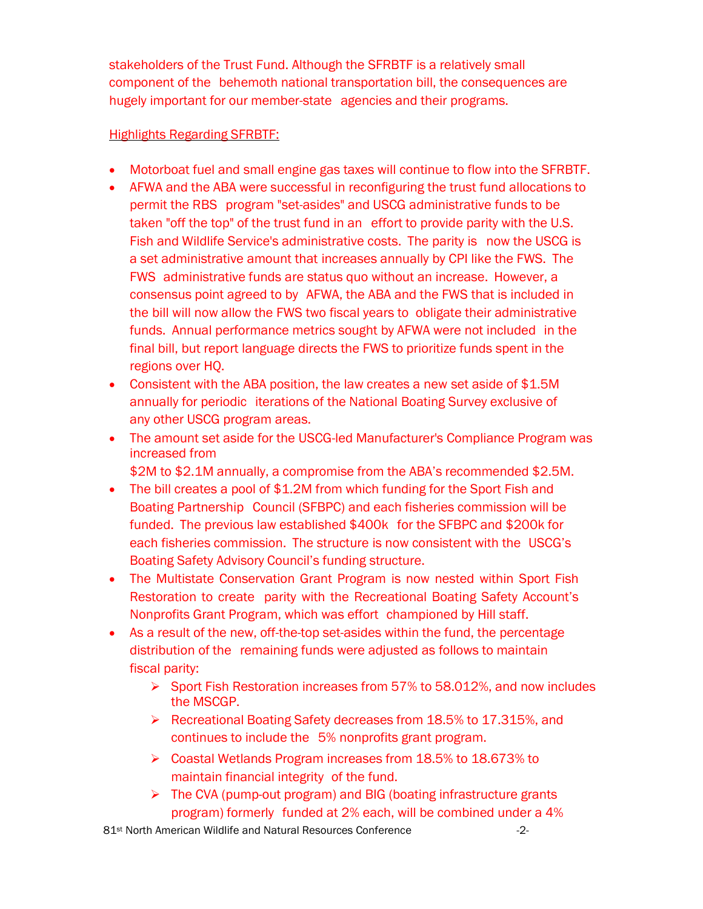stakeholders of the Trust Fund. Although the SFRBTF is a relatively small component of the behemoth national transportation bill, the consequences are hugely important for our member-state agencies and their programs.

# Highlights Regarding SFRBTF:

- Motorboat fuel and small engine gas taxes will continue to flow into the SFRBTF.
- AFWA and the ABA were successful in reconfiguring the trust fund allocations to permit the RBS program "set-asides" and USCG administrative funds to be taken "off the top" of the trust fund in an effort to provide parity with the U.S. Fish and Wildlife Service's administrative costs. The parity is now the USCG is a set administrative amount that increases annually by CPI like the FWS. The FWS administrative funds are status quo without an increase. However, a consensus point agreed to by AFWA, the ABA and the FWS that is included in the bill will now allow the FWS two fiscal years to obligate their administrative funds. Annual performance metrics sought by AFWA were not included in the final bill, but report language directs the FWS to prioritize funds spent in the regions over HQ.
- Consistent with the ABA position, the law creates a new set aside of \$1.5M annually for periodic iterations of the National Boating Survey exclusive of any other USCG program areas.
- The amount set aside for the USCG-led Manufacturer's Compliance Program was increased from

\$2M to \$2.1M annually, a compromise from the ABA's recommended \$2.5M.

- The bill creates a pool of \$1.2M from which funding for the Sport Fish and Boating Partnership Council (SFBPC) and each fisheries commission will be funded. The previous law established \$400k for the SFBPC and \$200k for each fisheries commission. The structure is now consistent with the USCG's Boating Safety Advisory Council's funding structure.
- The Multistate Conservation Grant Program is now nested within Sport Fish Restoration to create parity with the Recreational Boating Safety Account's Nonprofits Grant Program, which was effort championed by Hill staff.
- As a result of the new, off-the-top set-asides within the fund, the percentage distribution of the remaining funds were adjusted as follows to maintain fiscal parity:
	- $\triangleright$  Sport Fish Restoration increases from 57% to 58.012%, and now includes the MSCGP.
	- ▶ Recreational Boating Safety decreases from 18.5% to 17.315%, and continues to include the 5% nonprofits grant program.
	- Coastal Wetlands Program increases from 18.5% to 18.673% to maintain financial integrity of the fund.
	- The CVA (pump-out program) and BIG (boating infrastructure grants program) formerly funded at 2% each, will be combined under a 4%

81<sup>st</sup> North American Wildlife and Natural Resources Conference  $\sim$  -2-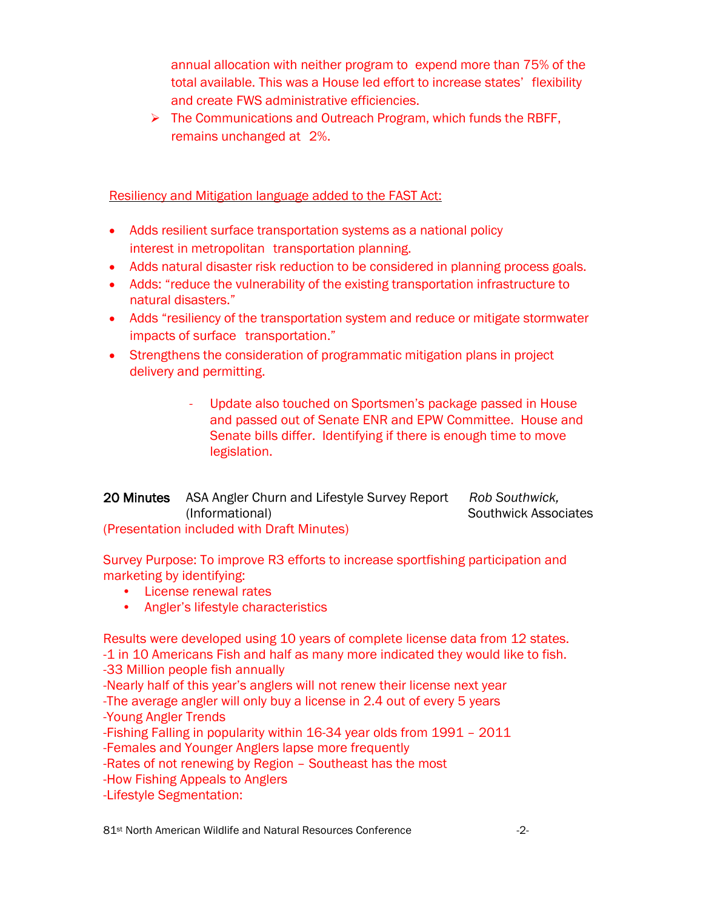annual allocation with neither program to expend more than 75% of the total available. This was a House led effort to increase states' flexibility and create FWS administrative efficiencies.

 $\triangleright$  The Communications and Outreach Program, which funds the RBFF, remains unchanged at 2%.

### Resiliency and Mitigation language added to the FAST Act:

- Adds resilient surface transportation systems as a national policy interest in metropolitan transportation planning.
- Adds natural disaster risk reduction to be considered in planning process goals.
- Adds: "reduce the vulnerability of the existing transportation infrastructure to natural disasters."
- Adds "resiliency of the transportation system and reduce or mitigate stormwater impacts of surface transportation."
- Strengthens the consideration of programmatic mitigation plans in project delivery and permitting.
	- *-* Update also touched on Sportsmen's package passed in House and passed out of Senate ENR and EPW Committee. House and Senate bills differ. Identifying if there is enough time to move legislation.
- 20 Minutes ASA Angler Churn and Lifestyle Survey Report *Rob Southwick,*  (Informational) Southwick Associates (Presentation included with Draft Minutes)

Survey Purpose: To improve R3 efforts to increase sportfishing participation and

marketing by identifying:

- License renewal rates
- Angler's lifestyle characteristics

Results were developed using 10 years of complete license data from 12 states. -1 in 10 Americans Fish and half as many more indicated they would like to fish. -33 Million people fish annually -Nearly half of this year's anglers will not renew their license next year -The average angler will only buy a license in 2.4 out of every 5 years -Young Angler Trends

-Fishing Falling in popularity within 16-34 year olds from 1991 – 2011 -Females and Younger Anglers lapse more frequently

-Rates of not renewing by Region – Southeast has the most

-How Fishing Appeals to Anglers

-Lifestyle Segmentation:

81<sup>st</sup> North American Wildlife and Natural Resources Conference  $\sim$  -2-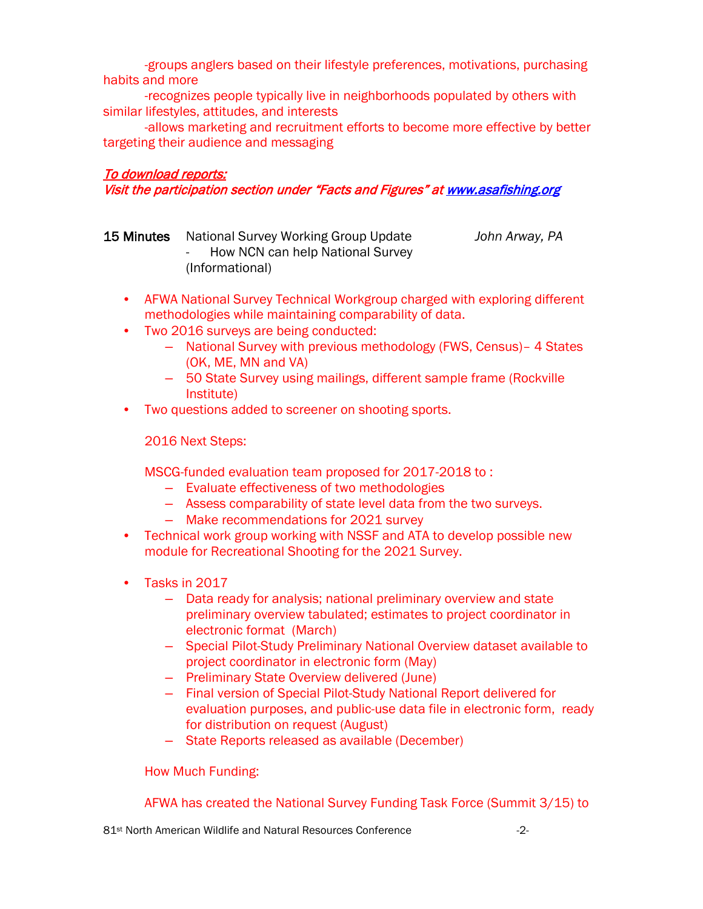-groups anglers based on their lifestyle preferences, motivations, purchasing habits and more

-recognizes people typically live in neighborhoods populated by others with similar lifestyles, attitudes, and interests

-allows marketing and recruitment efforts to become more effective by better targeting their audience and messaging

#### To download reports:

Visit the participation section under "Facts and Figures" a[t www.asafishing.org](http://www.asafishing.org/) 

| 15 Minutes | National Survey Working Group Update | John Arway, PA |
|------------|--------------------------------------|----------------|
|            | - How NCN can help National Survey   |                |
|            | (Informational)                      |                |

- AFWA National Survey Technical Workgroup charged with exploring different methodologies while maintaining comparability of data.
- Two 2016 surveys are being conducted:
	- National Survey with previous methodology (FWS, Census)– 4 States (OK, ME, MN and VA)
	- 50 State Survey using mailings, different sample frame (Rockville Institute)
- Two questions added to screener on shooting sports.

2016 Next Steps:

MSCG-funded evaluation team proposed for 2017-2018 to :

- Evaluate effectiveness of two methodologies
- Assess comparability of state level data from the two surveys.
- Make recommendations for 2021 survey
- Technical work group working with NSSF and ATA to develop possible new module for Recreational Shooting for the 2021 Survey.
- Tasks in 2017
	- Data ready for analysis; national preliminary overview and state preliminary overview tabulated; estimates to project coordinator in electronic format (March)
	- Special Pilot-Study Preliminary National Overview dataset available to project coordinator in electronic form (May)
	- Preliminary State Overview delivered (June)
	- Final version of Special Pilot-Study National Report delivered for evaluation purposes, and public-use data file in electronic form, ready for distribution on request (August)
	- State Reports released as available (December)

How Much Funding:

AFWA has created the National Survey Funding Task Force (Summit 3/15) to

81<sup>st</sup> North American Wildlife and Natural Resources Conference -2-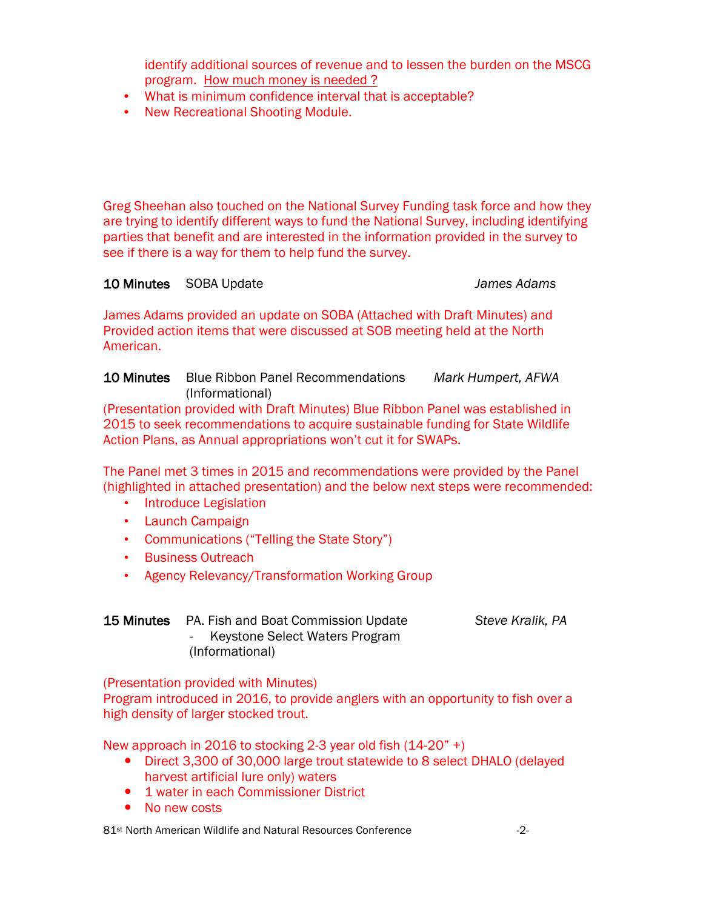identify additional sources of revenue and to lessen the burden on the MSCG program. How much money is needed ?

- What is minimum confidence interval that is acceptable?
- New Recreational Shooting Module.

Greg Sheehan also touched on the National Survey Funding task force and how they are trying to identify different ways to fund the National Survey, including identifying parties that benefit and are interested in the information provided in the survey to see if there is a way for them to help fund the survey.

# 10 Minutes SOBA Update *James Adams*

James Adams provided an update on SOBA (Attached with Draft Minutes) and Provided action items that were discussed at SOB meeting held at the North American.

10 Minutes Blue Ribbon Panel Recommendations *Mark Humpert, AFWA* (Informational)

(Presentation provided with Draft Minutes) Blue Ribbon Panel was established in 2015 to seek recommendations to acquire sustainable funding for State Wildlife Action Plans, as Annual appropriations won't cut it for SWAPs.

The Panel met 3 times in 2015 and recommendations were provided by the Panel (highlighted in attached presentation) and the below next steps were recommended:

- Introduce Legislation
- Launch Campaign
- Communications ("Telling the State Story")
- Business Outreach
- Agency Relevancy/Transformation Working Group

|                 | <b>15 Minutes</b> PA. Fish and Boat Commission Update |  |  |
|-----------------|-------------------------------------------------------|--|--|
|                 | - Keystone Select Waters Program                      |  |  |
| (Informational) |                                                       |  |  |

(Presentation provided with Minutes)

Program introduced in 2016, to provide anglers with an opportunity to fish over a high density of larger stocked trout.

New approach in 2016 to stocking 2-3 year old fish (14-20" +)

- Direct 3,300 of 30,000 large trout statewide to 8 select DHALO (delayed harvest artificial lure only) waters
- 1 water in each Commissioner District
- No new costs

81<sup>st</sup> North American Wildlife and Natural Resources Conference  $\sim$  -2-

Steve Kralik, PA.